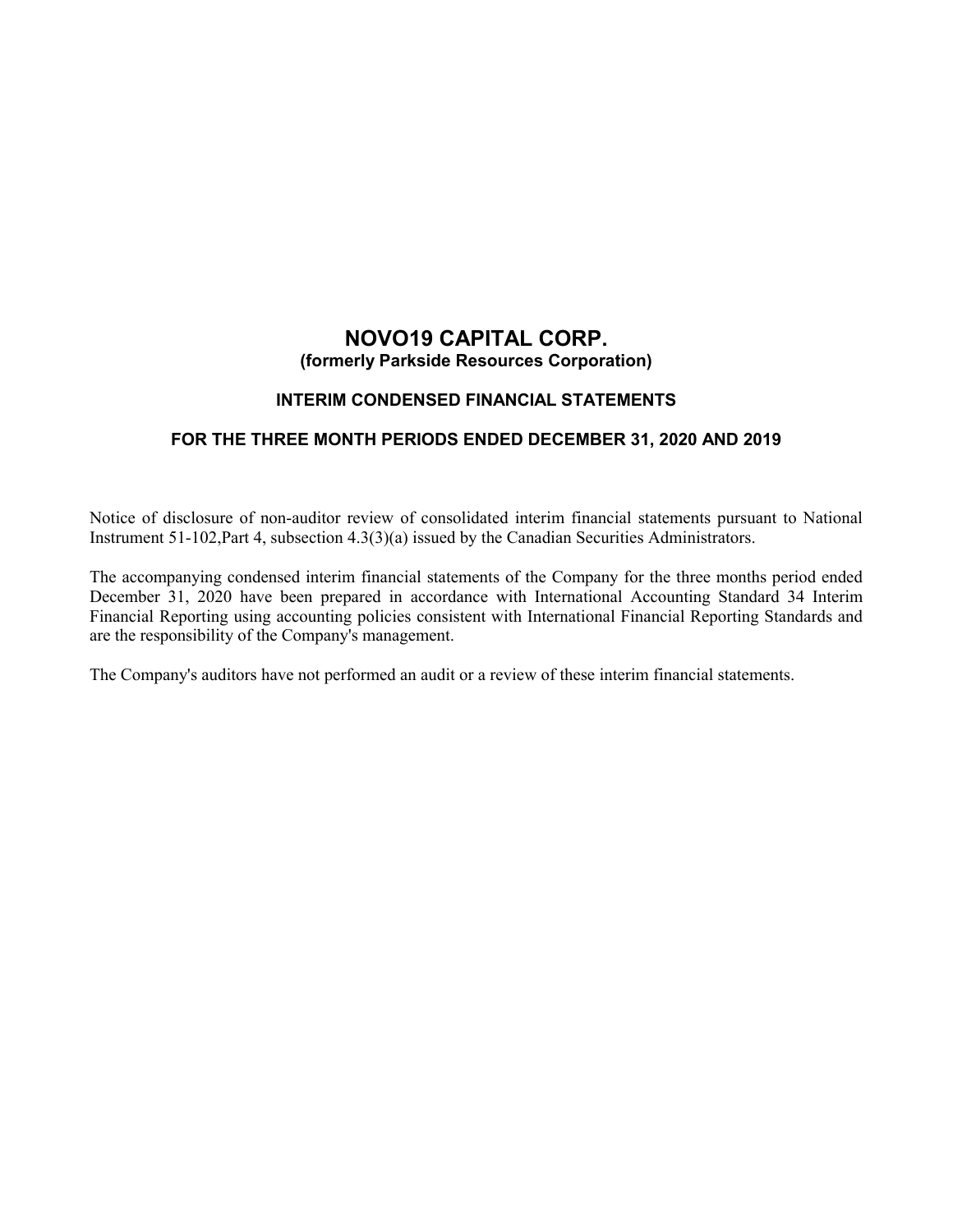# **NOVO19 CAPITAL CORP. (formerly Parkside Resources Corporation)**

# **INTERIM CONDENSED FINANCIAL STATEMENTS**

# **FOR THE THREE MONTH PERIODS ENDED DECEMBER 31, 2020 AND 2019**

Notice of disclosure of non-auditor review of consolidated interim financial statements pursuant to National Instrument 51-102,Part 4, subsection 4.3(3)(a) issued by the Canadian Securities Administrators.

The accompanying condensed interim financial statements of the Company for the three months period ended December 31, 2020 have been prepared in accordance with International Accounting Standard 34 Interim Financial Reporting using accounting policies consistent with International Financial Reporting Standards and are the responsibility of the Company's management.

The Company's auditors have not performed an audit or a review of these interim financial statements.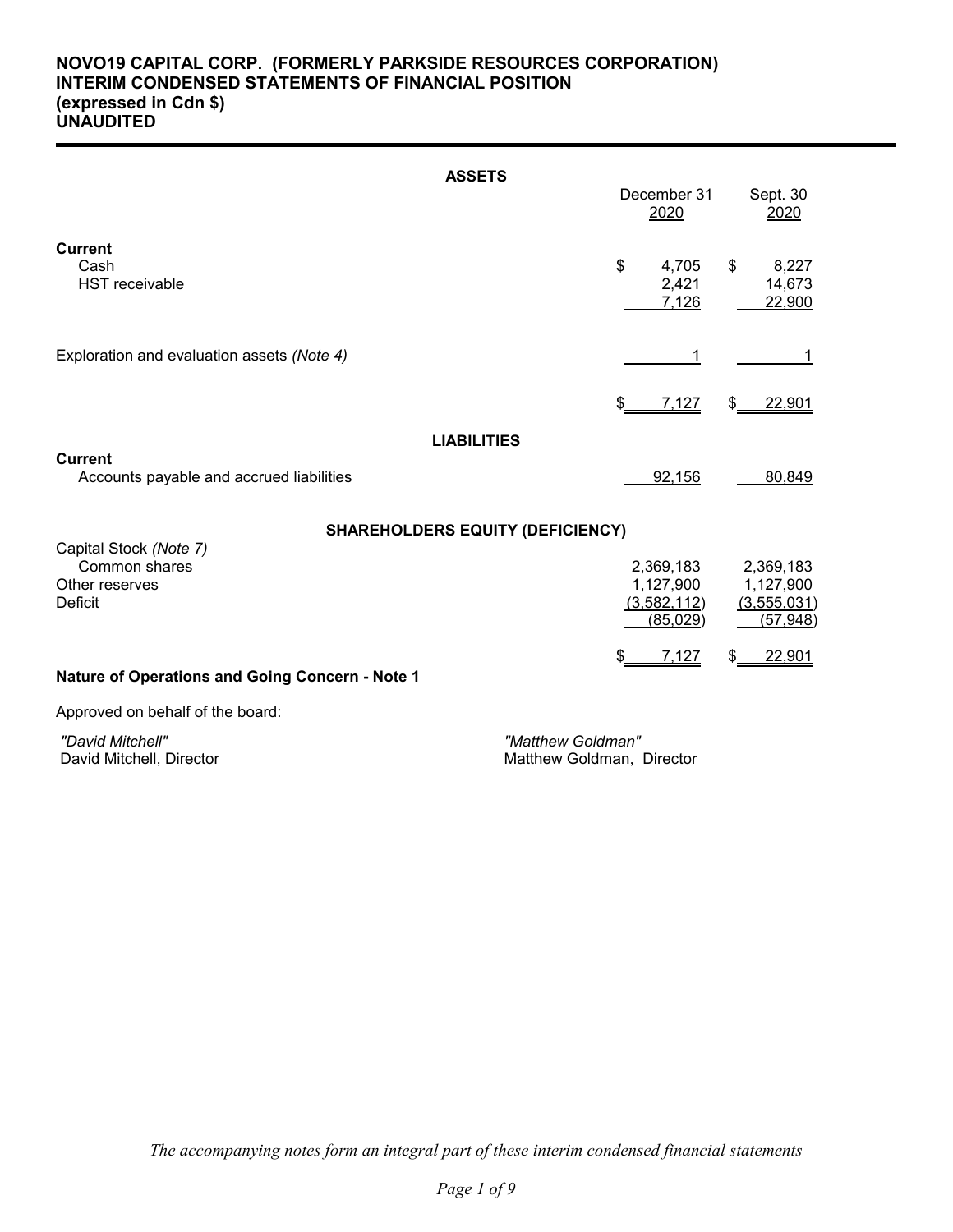# **NOVO19 CAPITAL CORP. (FORMERLY PARKSIDE RESOURCES CORPORATION) INTERIM CONDENSED STATEMENTS OF FINANCIAL POSITION (expressed in Cdn \$) UNAUDITED**

| <b>ASSETS</b>                                                     |     | December 31             |    |                           |
|-------------------------------------------------------------------|-----|-------------------------|----|---------------------------|
|                                                                   |     | 2020                    |    | Sept. 30<br>2020          |
| <b>Current</b><br>Cash<br><b>HST</b> receivable                   | \$  | 4,705<br>2,421<br>7,126 | \$ | 8,227<br>14,673<br>22,900 |
| Exploration and evaluation assets (Note 4)                        |     |                         |    |                           |
|                                                                   | \$. | 7,127                   | \$ | 22,901                    |
| <b>LIABILITIES</b><br><b>Current</b>                              |     |                         |    |                           |
| Accounts payable and accrued liabilities                          |     | 92,156                  |    | 80,849                    |
| <b>SHAREHOLDERS EQUITY (DEFICIENCY)</b><br>Capital Stock (Note 7) |     |                         |    |                           |
| Common shares<br>Other reserves                                   |     | 2,369,183<br>1,127,900  |    | 2,369,183<br>1,127,900    |
| Deficit                                                           |     | (3,582,112)<br>(85,029) |    | (3,555,031)<br>(57, 948)  |
| <b>Nature of Operations and Going Concern - Note 1</b>            |     | 7,127                   | S  | 22,901                    |

Approved on behalf of the board:

 *"David Mitchell" "Matthew Goldman"*

Matthew Goldman, Director

*The accompanying notes form an integral part of these interim condensed financial statements*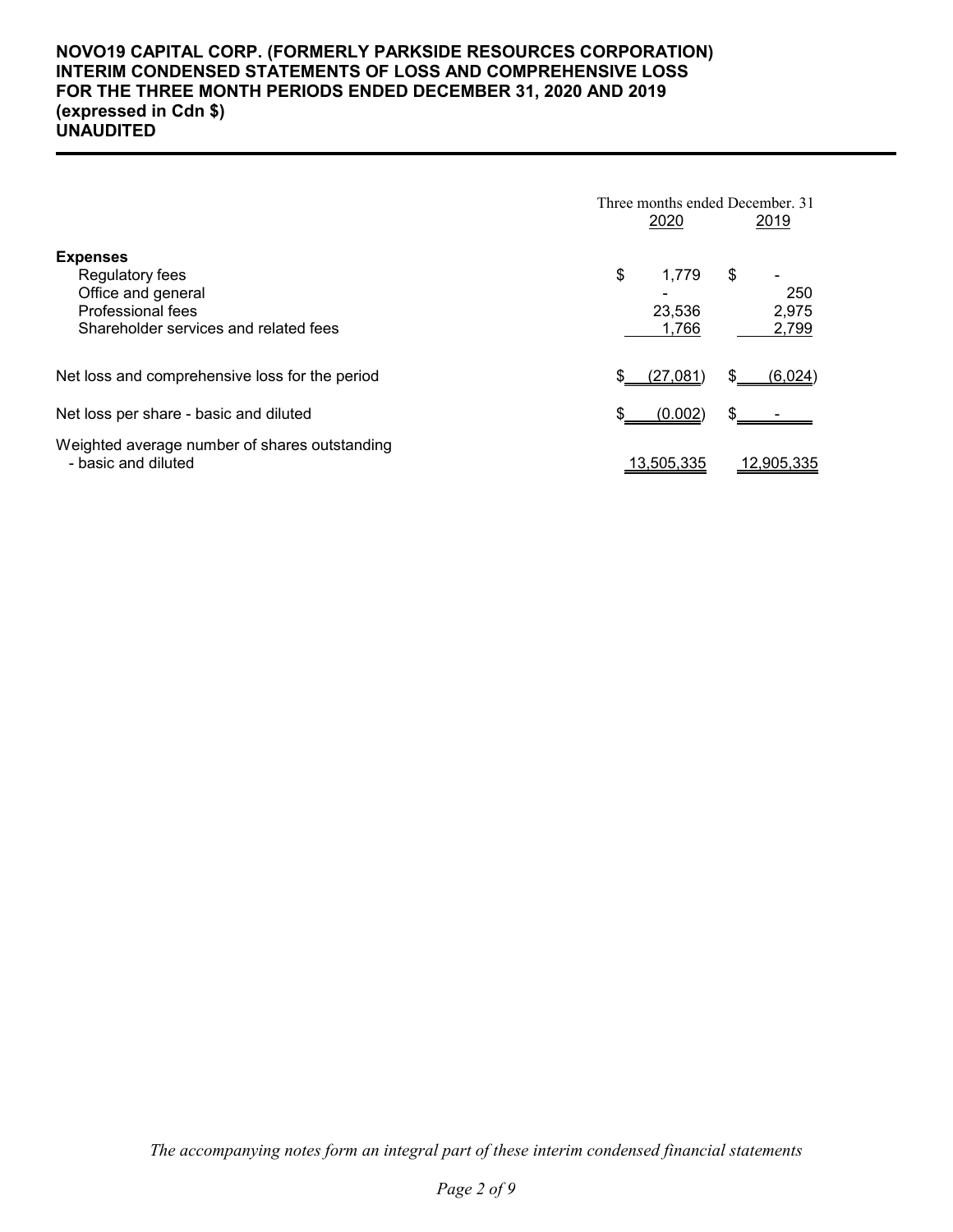# **NOVO19 CAPITAL CORP. (FORMERLY PARKSIDE RESOURCES CORPORATION) INTERIM CONDENSED STATEMENTS OF LOSS AND COMPREHENSIVE LOSS FOR THE THREE MONTH PERIODS ENDED DECEMBER 31, 2020 AND 2019 (expressed in Cdn \$) UNAUDITED**

|                                                                                                                               | Three months ended December, 31<br>2020<br>2019               |
|-------------------------------------------------------------------------------------------------------------------------------|---------------------------------------------------------------|
| <b>Expenses</b><br>Regulatory fees<br>Office and general<br><b>Professional fees</b><br>Shareholder services and related fees | \$<br>\$<br>1.779<br>250<br>2,975<br>23,536<br>2,799<br>1.766 |
| Net loss and comprehensive loss for the period                                                                                | \$<br>(27,081)<br>(6,024)                                     |
| Net loss per share - basic and diluted                                                                                        | (0.002)                                                       |
| Weighted average number of shares outstanding<br>- basic and diluted                                                          | 13,505,335<br>12,905,335                                      |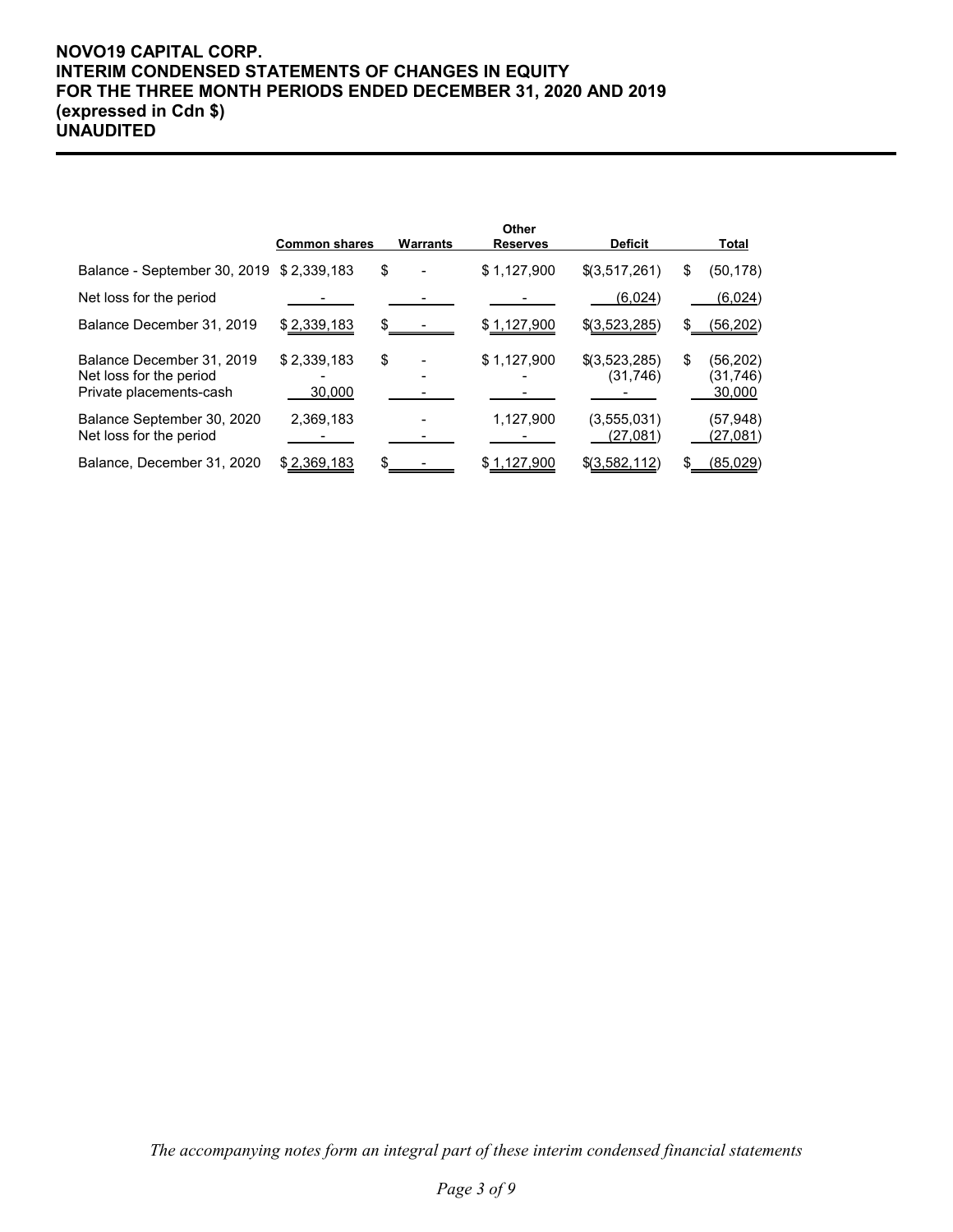# **NOVO19 CAPITAL CORP. INTERIM CONDENSED STATEMENTS OF CHANGES IN EQUITY FOR THE THREE MONTH PERIODS ENDED DECEMBER 31, 2020 AND 2019 (expressed in Cdn \$) UNAUDITED**

|                                                                                 | <b>Common shares</b>  | Warrants | Other<br><b>Reserves</b> | <b>Deficit</b>             |     | Total                           |
|---------------------------------------------------------------------------------|-----------------------|----------|--------------------------|----------------------------|-----|---------------------------------|
| Balance - September 30, 2019 \$ 2,339,183                                       |                       | \$       | \$1,127,900              | \$(3,517,261)              | \$  | (50, 178)                       |
| Net loss for the period                                                         |                       |          |                          | (6,024)                    |     | (6,024)                         |
| Balance December 31, 2019                                                       | \$2,339,183           |          | \$1,127,900              | \$(3,523,285)              | \$. | (56, 202)                       |
| Balance December 31, 2019<br>Net loss for the period<br>Private placements-cash | \$2,339,183<br>30,000 | \$       | \$1,127,900              | \$(3,523,285)<br>(31, 746) | \$  | (56, 202)<br>(31,746)<br>30,000 |
| Balance September 30, 2020<br>Net loss for the period                           | 2,369,183             |          | 1,127,900                | (3,555,031)<br>(27,081)    |     | (57,948)<br>(27, 081)           |
| Balance, December 31, 2020                                                      | \$2,369,183           |          | \$1,127,900              | \$(3,582,112)              | \$  | <u>(85,029)</u>                 |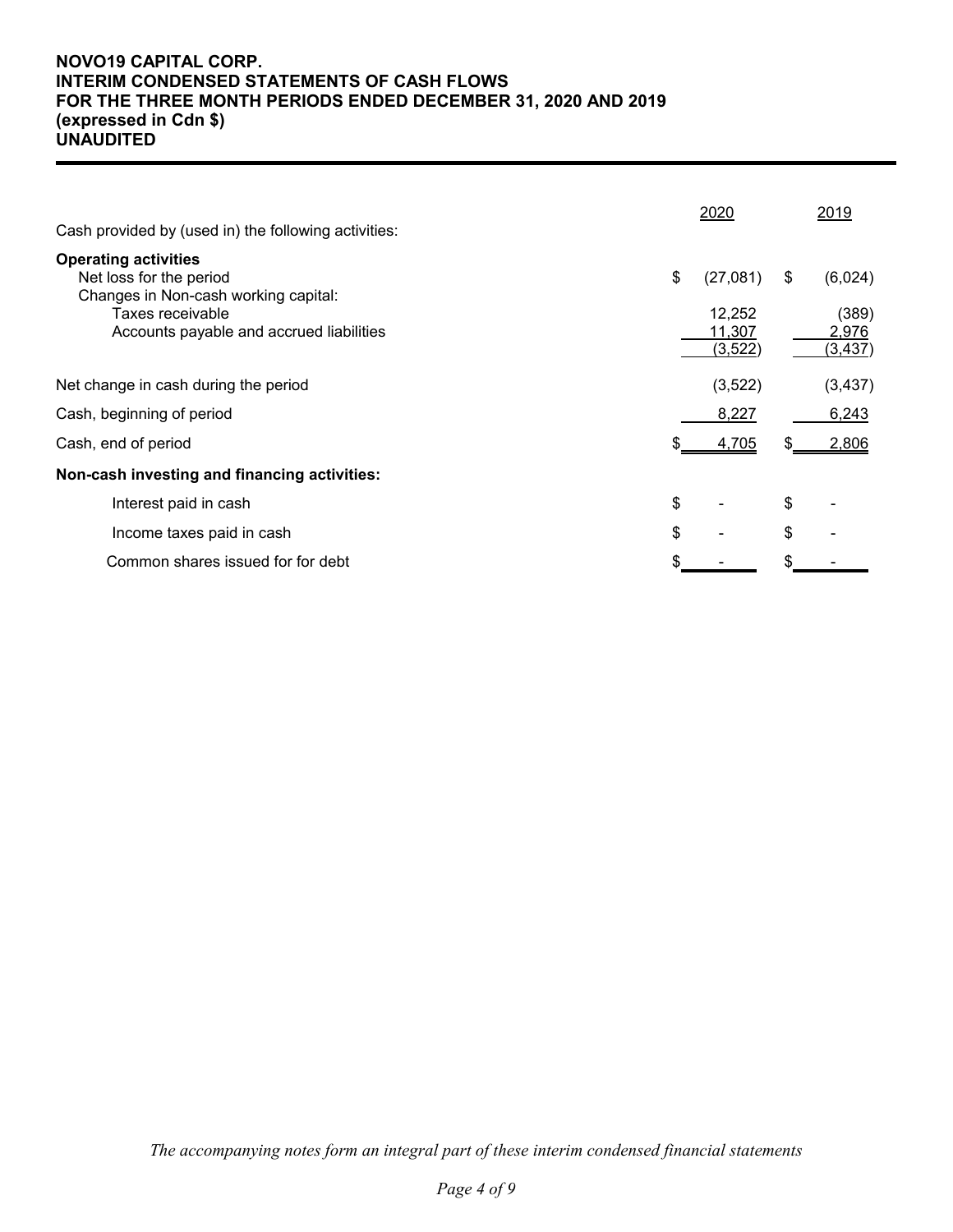# **NOVO19 CAPITAL CORP. INTERIM CONDENSED STATEMENTS OF CASH FLOWS FOR THE THREE MONTH PERIODS ENDED DECEMBER 31, 2020 AND 2019 (expressed in Cdn \$) UNAUDITED**

| Cash provided by (used in) the following activities:                                                               | 2020                     |    | 2019              |
|--------------------------------------------------------------------------------------------------------------------|--------------------------|----|-------------------|
| <b>Operating activities</b><br>Net loss for the period<br>Changes in Non-cash working capital:<br>Taxes receivable | \$<br>(27,081)<br>12,252 | \$ | (6,024)<br>(389)  |
| Accounts payable and accrued liabilities                                                                           | 11,307<br>(3,522)        |    | 2,976<br>(3, 437) |
| Net change in cash during the period                                                                               | (3,522)                  |    | (3, 437)          |
| Cash, beginning of period                                                                                          | 8,227                    |    | 6,243             |
| Cash, end of period                                                                                                | \$<br>4,705              | S  | 2,806             |
| Non-cash investing and financing activities:                                                                       |                          |    |                   |
| Interest paid in cash                                                                                              | \$                       | \$ |                   |
| Income taxes paid in cash                                                                                          | \$                       | \$ |                   |
| Common shares issued for for debt                                                                                  |                          |    |                   |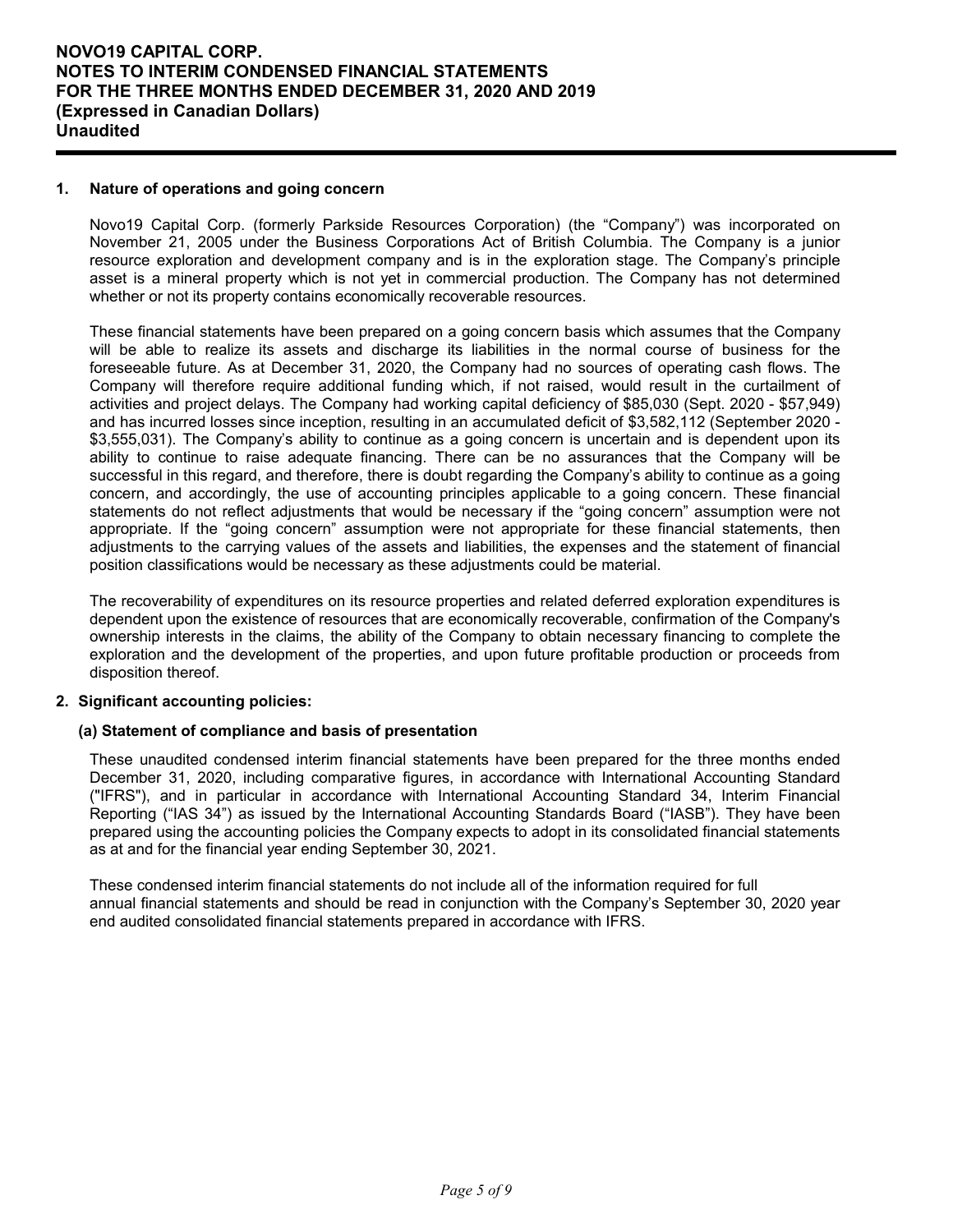#### **1. Nature of operations and going concern**

Novo19 Capital Corp. (formerly Parkside Resources Corporation) (the "Company") was incorporated on November 21, 2005 under the Business Corporations Act of British Columbia. The Company is a junior resource exploration and development company and is in the exploration stage. The Company's principle asset is a mineral property which is not yet in commercial production. The Company has not determined whether or not its property contains economically recoverable resources.

These financial statements have been prepared on a going concern basis which assumes that the Company will be able to realize its assets and discharge its liabilities in the normal course of business for the foreseeable future. As at December 31, 2020, the Company had no sources of operating cash flows. The Company will therefore require additional funding which, if not raised, would result in the curtailment of activities and project delays. The Company had working capital deficiency of \$85,030 (Sept. 2020 - \$57,949) and has incurred losses since inception, resulting in an accumulated deficit of \$3,582,112 (September 2020 - \$3,555,031). The Company's ability to continue as a going concern is uncertain and is dependent upon its ability to continue to raise adequate financing. There can be no assurances that the Company will be successful in this regard, and therefore, there is doubt regarding the Company's ability to continue as a going concern, and accordingly, the use of accounting principles applicable to a going concern. These financial statements do not reflect adjustments that would be necessary if the "going concern" assumption were not appropriate. If the "going concern" assumption were not appropriate for these financial statements, then adjustments to the carrying values of the assets and liabilities, the expenses and the statement of financial position classifications would be necessary as these adjustments could be material.

The recoverability of expenditures on its resource properties and related deferred exploration expenditures is dependent upon the existence of resources that are economically recoverable, confirmation of the Company's ownership interests in the claims, the ability of the Company to obtain necessary financing to complete the exploration and the development of the properties, and upon future profitable production or proceeds from disposition thereof.

### **2. Significant accounting policies:**

#### **(a) Statement of compliance and basis of presentation**

These unaudited condensed interim financial statements have been prepared for the three months ended December 31, 2020, including comparative figures, in accordance with International Accounting Standard ("IFRS"), and in particular in accordance with International Accounting Standard 34, Interim Financial Reporting ("IAS 34") as issued by the International Accounting Standards Board ("IASB"). They have been prepared using the accounting policies the Company expects to adopt in its consolidated financial statements as at and for the financial year ending September 30, 2021.

These condensed interim financial statements do not include all of the information required for full annual financial statements and should be read in conjunction with the Company's September 30, 2020 year end audited consolidated financial statements prepared in accordance with IFRS.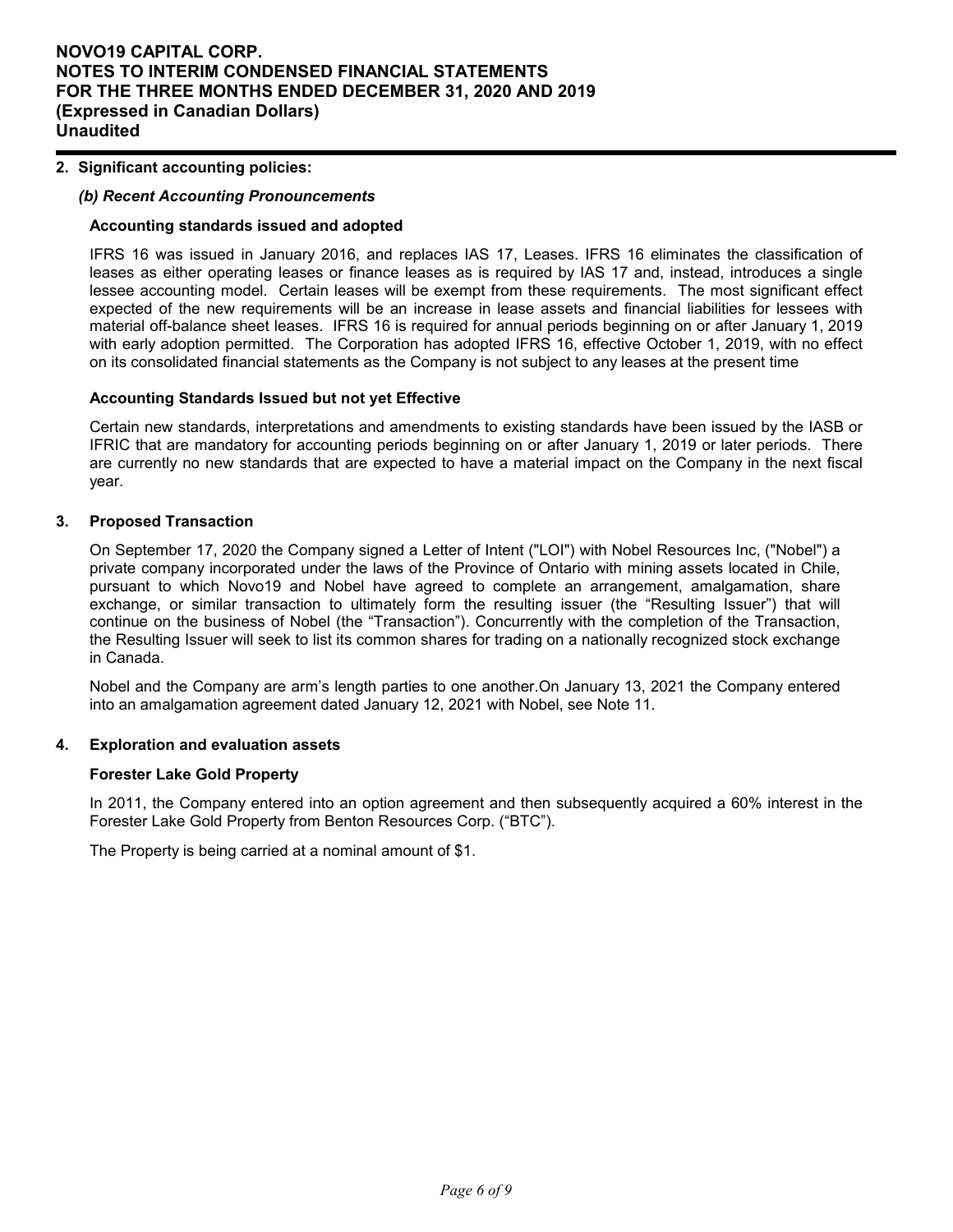#### **2. Significant accounting policies:**

#### *(b) Recent Accounting Pronouncements*

#### **Accounting standards issued and adopted**

IFRS 16 was issued in January 2016, and replaces IAS 17, Leases. IFRS 16 eliminates the classification of leases as either operating leases or finance leases as is required by IAS 17 and, instead, introduces a single lessee accounting model. Certain leases will be exempt from these requirements. The most significant effect expected of the new requirements will be an increase in lease assets and financial liabilities for lessees with material off-balance sheet leases. IFRS 16 is required for annual periods beginning on or after January 1, 2019 with early adoption permitted. The Corporation has adopted IFRS 16, effective October 1, 2019, with no effect on its consolidated financial statements as the Company is not subject to any leases at the present time

#### **Accounting Standards Issued but not yet Effective**

Certain new standards, interpretations and amendments to existing standards have been issued by the IASB or IFRIC that are mandatory for accounting periods beginning on or after January 1, 2019 or later periods. There are currently no new standards that are expected to have a material impact on the Company in the next fiscal year.

#### **3. Proposed Transaction**

On September 17, 2020 the Company signed a Letter of Intent ("LOI") with Nobel Resources Inc, ("Nobel") a private company incorporated under the laws of the Province of Ontario with mining assets located in Chile, pursuant to which Novo19 and Nobel have agreed to complete an arrangement, amalgamation, share exchange, or similar transaction to ultimately form the resulting issuer (the "Resulting Issuer") that will continue on the business of Nobel (the "Transaction"). Concurrently with the completion of the Transaction, the Resulting Issuer will seek to list its common shares for trading on a nationally recognized stock exchange in Canada.

Nobel and the Company are arm's length parties to one another.On January 13, 2021 the Company entered into an amalgamation agreement dated January 12, 2021 with Nobel, see Note 11.

#### **4. Exploration and evaluation assets**

#### **Forester Lake Gold Property**

In 2011, the Company entered into an option agreement and then subsequently acquired a 60% interest in the Forester Lake Gold Property from Benton Resources Corp. ("BTC").

The Property is being carried at a nominal amount of \$1.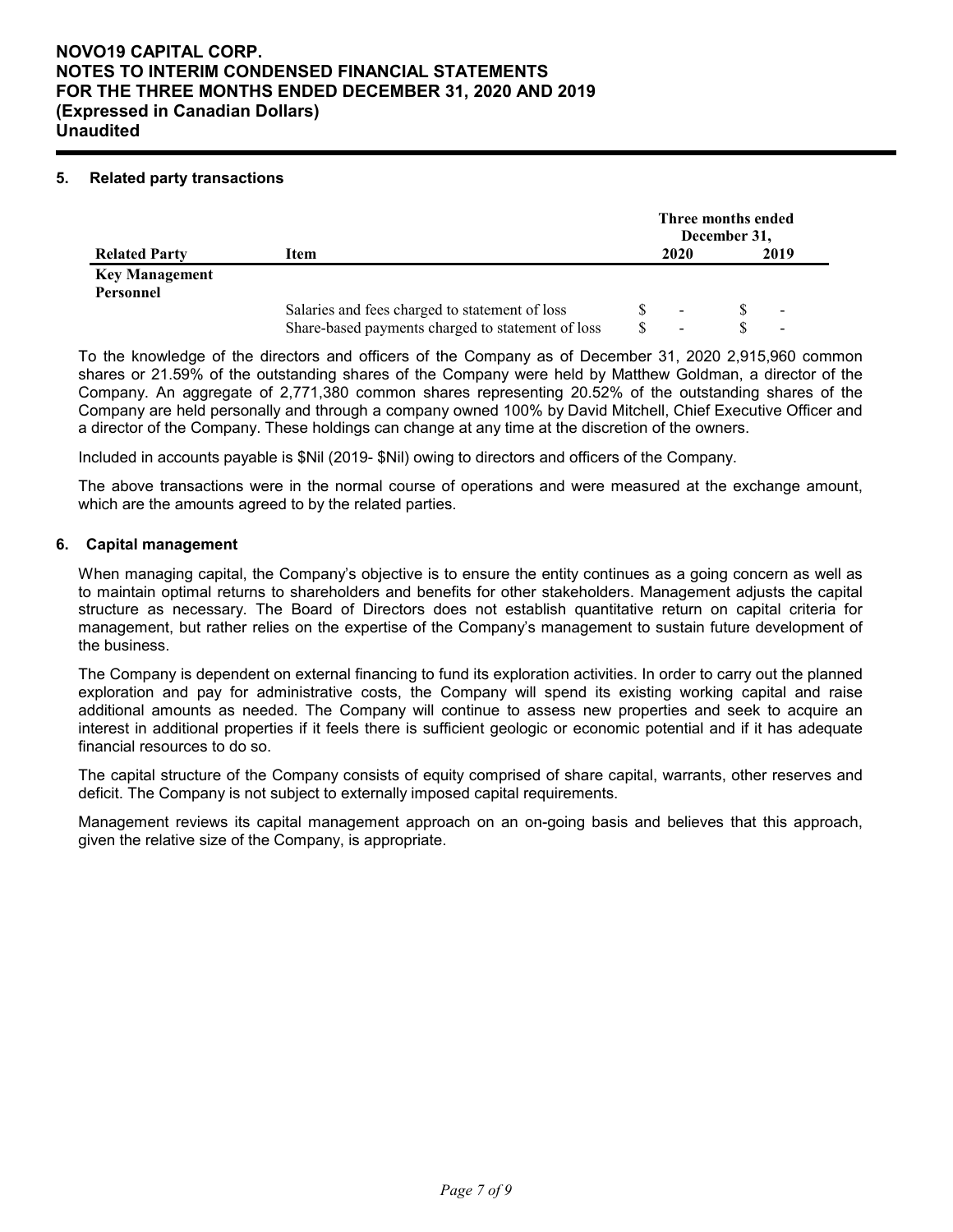# **NOVO19 CAPITAL CORP. NOTES TO INTERIM CONDENSED FINANCIAL STATEMENTS FOR THE THREE MONTHS ENDED DECEMBER 31, 2020 AND 2019 (Expressed in Canadian Dollars) Unaudited**

### **5. Related party transactions**

|                                    |                                                   | Three months ended<br>December 31, |      |  |                          |  |
|------------------------------------|---------------------------------------------------|------------------------------------|------|--|--------------------------|--|
| <b>Related Party</b>               | Item                                              |                                    | 2020 |  | 2019                     |  |
| <b>Key Management</b><br>Personnel |                                                   |                                    |      |  |                          |  |
|                                    | Salaries and fees charged to statement of loss    |                                    | -    |  | $\overline{\phantom{a}}$ |  |
|                                    | Share-based payments charged to statement of loss |                                    | -    |  | $\overline{\phantom{a}}$ |  |

To the knowledge of the directors and officers of the Company as of December 31, 2020 2,915,960 common shares or 21.59% of the outstanding shares of the Company were held by Matthew Goldman, a director of the Company. An aggregate of 2,771,380 common shares representing 20.52% of the outstanding shares of the Company are held personally and through a company owned 100% by David Mitchell, Chief Executive Officer and a director of the Company. These holdings can change at any time at the discretion of the owners.

Included in accounts payable is \$Nil (2019- \$Nil) owing to directors and officers of the Company.

The above transactions were in the normal course of operations and were measured at the exchange amount, which are the amounts agreed to by the related parties.

#### **6. Capital management**

When managing capital, the Company's objective is to ensure the entity continues as a going concern as well as to maintain optimal returns to shareholders and benefits for other stakeholders. Management adjusts the capital structure as necessary. The Board of Directors does not establish quantitative return on capital criteria for management, but rather relies on the expertise of the Company's management to sustain future development of the business.

The Company is dependent on external financing to fund its exploration activities. In order to carry out the planned exploration and pay for administrative costs, the Company will spend its existing working capital and raise additional amounts as needed. The Company will continue to assess new properties and seek to acquire an interest in additional properties if it feels there is sufficient geologic or economic potential and if it has adequate financial resources to do so.

The capital structure of the Company consists of equity comprised of share capital, warrants, other reserves and deficit. The Company is not subject to externally imposed capital requirements.

Management reviews its capital management approach on an on-going basis and believes that this approach, given the relative size of the Company, is appropriate.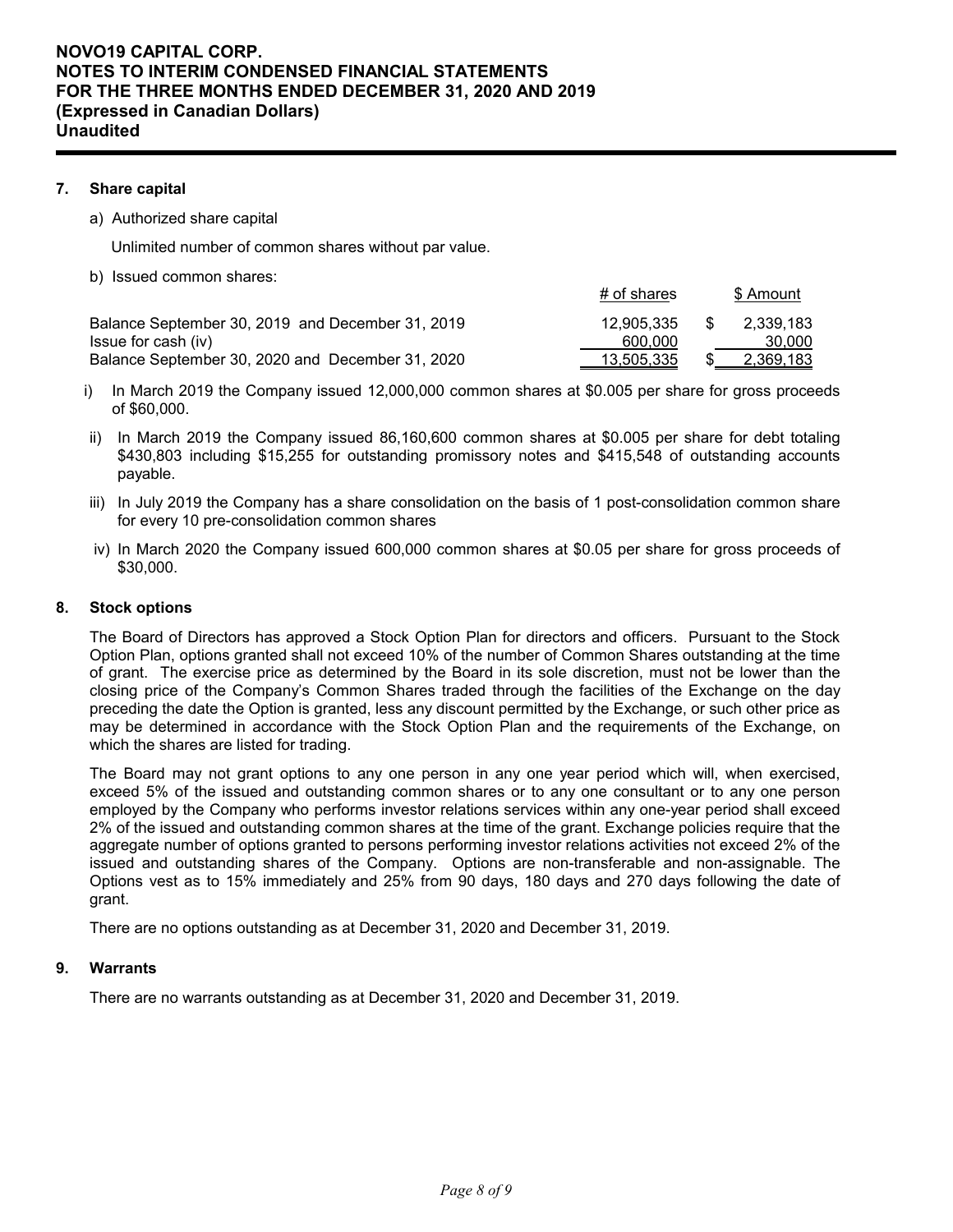### **7. Share capital**

a) Authorized share capital

Unlimited number of common shares without par value.

b) Issued common shares:

| Balance September 30, 2019 and December 31, 2019 | 12.905.335 | \$. | 2.339.183 |
|--------------------------------------------------|------------|-----|-----------|
| Issue for cash (iv)                              | 600,000    |     | 30,000    |
| Balance September 30, 2020 and December 31, 2020 | 13,505,335 |     | 2,369,183 |

 $#$  of shares  $#$  Amount

- i) In March 2019 the Company issued 12,000,000 common shares at \$0.005 per share for gross proceeds of \$60,000.
- ii) In March 2019 the Company issued 86,160,600 common shares at \$0.005 per share for debt totaling \$430,803 including \$15,255 for outstanding promissory notes and \$415,548 of outstanding accounts payable.
- iii) In July 2019 the Company has a share consolidation on the basis of 1 post-consolidation common share for every 10 pre-consolidation common shares
- iv) In March 2020 the Company issued 600,000 common shares at \$0.05 per share for gross proceeds of \$30,000.

### **8. Stock options**

The Board of Directors has approved a Stock Option Plan for directors and officers. Pursuant to the Stock Option Plan, options granted shall not exceed 10% of the number of Common Shares outstanding at the time of grant. The exercise price as determined by the Board in its sole discretion, must not be lower than the closing price of the Company's Common Shares traded through the facilities of the Exchange on the day preceding the date the Option is granted, less any discount permitted by the Exchange, or such other price as may be determined in accordance with the Stock Option Plan and the requirements of the Exchange, on which the shares are listed for trading.

The Board may not grant options to any one person in any one year period which will, when exercised, exceed 5% of the issued and outstanding common shares or to any one consultant or to any one person employed by the Company who performs investor relations services within any one-year period shall exceed 2% of the issued and outstanding common shares at the time of the grant. Exchange policies require that the aggregate number of options granted to persons performing investor relations activities not exceed 2% of the issued and outstanding shares of the Company. Options are non-transferable and non-assignable. The Options vest as to 15% immediately and 25% from 90 days, 180 days and 270 days following the date of grant.

There are no options outstanding as at December 31, 2020 and December 31, 2019.

#### **9. Warrants**

There are no warrants outstanding as at December 31, 2020 and December 31, 2019.